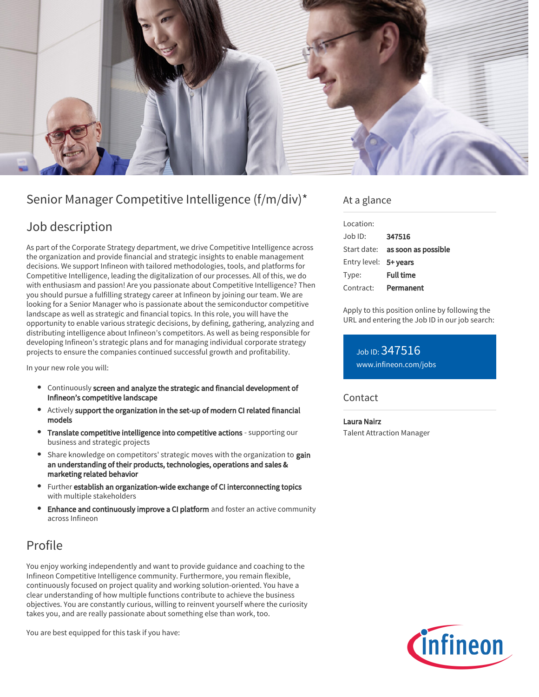

# Senior Manager Competitive Intelligence (f/m/div)\*

## Job description

As part of the Corporate Strategy department, we drive Competitive Intelligence across the organization and provide financial and strategic insights to enable management decisions. We support Infineon with tailored methodologies, tools, and platforms for Competitive Intelligence, leading the digitalization of our processes. All of this, we do with enthusiasm and passion! Are you passionate about Competitive Intelligence? Then you should pursue a fulfilling strategy career at Infineon by joining our team. We are looking for a Senior Manager who is passionate about the semiconductor competitive landscape as well as strategic and financial topics. In this role, you will have the opportunity to enable various strategic decisions, by defining, gathering, analyzing and distributing intelligence about Infineon's competitors. As well as being responsible for developing Infineon's strategic plans and for managing individual corporate strategy projects to ensure the companies continued successful growth and profitability.

In your new role you will:

- Continuously screen and analyze the strategic and financial development of Infineon's competitive landscape
- Actively support the organization in the set-up of modern CI related financial models
- Translate competitive intelligence into competitive actions supporting our business and strategic projects
- Share knowledge on competitors' strategic moves with the organization to gain an understanding of their products, technologies, operations and sales & marketing related behavior
- Further establish an organization-wide exchange of CI interconnecting topics with multiple stakeholders
- Enhance and continuously improve a CI platform and foster an active community across Infineon

# Profile

You enjoy working independently and want to provide guidance and coaching to the Infineon Competitive Intelligence community. Furthermore, you remain flexible, continuously focused on project quality and working solution-oriented. You have a clear understanding of how multiple functions contribute to achieve the business objectives. You are constantly curious, willing to reinvent yourself where the curiosity takes you, and are really passionate about something else than work, too.

You are best equipped for this task if you have:

### At a glance

| Location:             |                                 |
|-----------------------|---------------------------------|
| Job ID:               | 347516                          |
|                       | Start date: as soon as possible |
| Entry level: 5+ years |                                 |
| Type:                 | <b>Full time</b>                |
| Contract:             | Permanent                       |

Apply to this position online by following the URL and entering the Job ID in our job search:

Job ID: 347516 [www.infineon.com/jobs](https://www.infineon.com/jobs)

### **Contact**

Laura Nairz Talent Attraction Manager